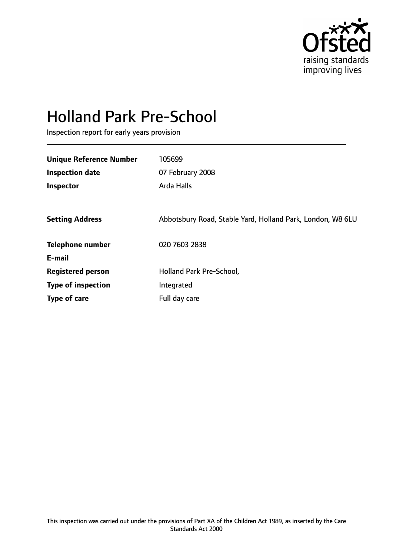

# Holland Park Pre-School

Inspection report for early years provision

| <b>Unique Reference Number</b> | 105699                                                     |
|--------------------------------|------------------------------------------------------------|
| <b>Inspection date</b>         | 07 February 2008                                           |
| Inspector                      | Arda Halls                                                 |
|                                |                                                            |
| <b>Setting Address</b>         | Abbotsbury Road, Stable Yard, Holland Park, London, W8 6LU |
| <b>Telephone number</b>        | 020 7603 2838                                              |
| E-mail                         |                                                            |
| <b>Registered person</b>       | Holland Park Pre-School,                                   |
| <b>Type of inspection</b>      | Integrated                                                 |
| Type of care                   | Full day care                                              |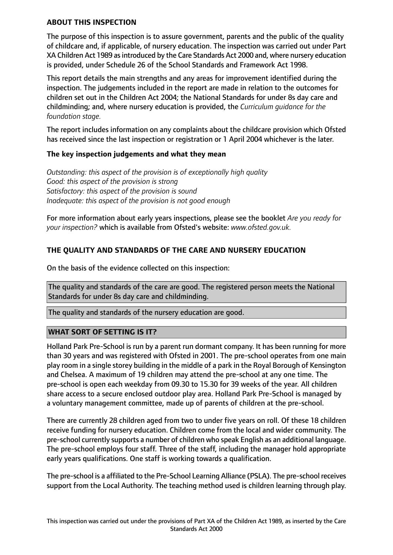## **ABOUT THIS INSPECTION**

The purpose of this inspection is to assure government, parents and the public of the quality of childcare and, if applicable, of nursery education. The inspection was carried out under Part XA Children Act 1989 asintroduced by the Care Standards Act 2000 and, where nursery education is provided, under Schedule 26 of the School Standards and Framework Act 1998.

This report details the main strengths and any areas for improvement identified during the inspection. The judgements included in the report are made in relation to the outcomes for children set out in the Children Act 2004; the National Standards for under 8s day care and childminding; and, where nursery education is provided, the *Curriculum guidance for the foundation stage.*

The report includes information on any complaints about the childcare provision which Ofsted has received since the last inspection or registration or 1 April 2004 whichever is the later.

## **The key inspection judgements and what they mean**

*Outstanding: this aspect of the provision is of exceptionally high quality Good: this aspect of the provision is strong Satisfactory: this aspect of the provision is sound Inadequate: this aspect of the provision is not good enough*

For more information about early years inspections, please see the booklet *Are you ready for your inspection?* which is available from Ofsted's website: *www.ofsted.gov.uk.*

## **THE QUALITY AND STANDARDS OF THE CARE AND NURSERY EDUCATION**

On the basis of the evidence collected on this inspection:

The quality and standards of the care are good. The registered person meets the National Standards for under 8s day care and childminding.

The quality and standards of the nursery education are good.

## **WHAT SORT OF SETTING IS IT?**

Holland Park Pre-School is run by a parent run dormant company. It has been running for more than 30 years and was registered with Ofsted in 2001. The pre-school operates from one main play room in a single storey building in the middle of a park in the Royal Borough of Kensington and Chelsea. A maximum of 19 children may attend the pre-school at any one time. The pre-school is open each weekday from 09.30 to 15.30 for 39 weeks of the year. All children share access to a secure enclosed outdoor play area. Holland Park Pre-School is managed by a voluntary management committee, made up of parents of children at the pre-school.

There are currently 28 children aged from two to under five years on roll. Of these 18 children receive funding for nursery education. Children come from the local and wider community. The pre-school currently supports a number of children who speak English as an additional language. The pre-school employs four staff. Three of the staff, including the manager hold appropriate early years qualifications. One staff is working towards a qualification.

The pre-school is a affiliated to the Pre-School Learning Alliance (PSLA). The pre-school receives support from the Local Authority. The teaching method used is children learning through play.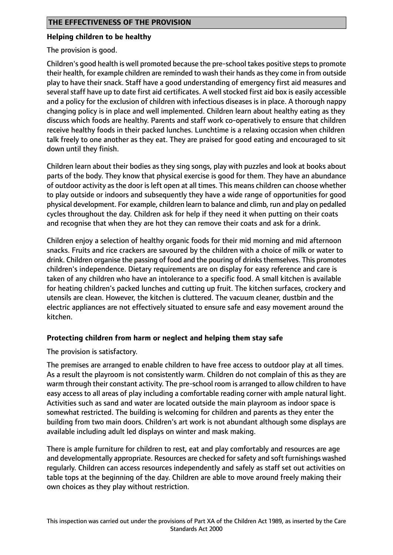## **Helping children to be healthy**

The provision is good.

Children's good health is well promoted because the pre-school takes positive stepsto promote their health, for example children are reminded to wash their hands asthey come in from outside play to have their snack. Staff have a good understanding of emergency first aid measures and several staff have up to date first aid certificates. A well stocked first aid box is easily accessible and a policy for the exclusion of children with infectious diseases is in place. A thorough nappy changing policy is in place and well implemented. Children learn about healthy eating as they discuss which foods are healthy. Parents and staff work co-operatively to ensure that children receive healthy foods in their packed lunches. Lunchtime is a relaxing occasion when children talk freely to one another as they eat. They are praised for good eating and encouraged to sit down until they finish.

Children learn about their bodies as they sing songs, play with puzzles and look at books about parts of the body. They know that physical exercise is good for them. They have an abundance of outdoor activity as the door is left open at all times. This means children can choose whether to play outside or indoors and subsequently they have a wide range of opportunities for good physical development. For example, children learn to balance and climb, run and play on pedalled cycles throughout the day. Children ask for help if they need it when putting on their coats and recognise that when they are hot they can remove their coats and ask for a drink.

Children enjoy a selection of healthy organic foods for their mid morning and mid afternoon snacks. Fruits and rice crackers are savoured by the children with a choice of milk or water to drink. Children organise the passing of food and the pouring of drinks themselves. This promotes children's independence. Dietary requirements are on display for easy reference and care is taken of any children who have an intolerance to a specific food. A small kitchen is available for heating children's packed lunches and cutting up fruit. The kitchen surfaces, crockery and utensils are clean. However, the kitchen is cluttered. The vacuum cleaner, dustbin and the electric appliances are not effectively situated to ensure safe and easy movement around the kitchen.

## **Protecting children from harm or neglect and helping them stay safe**

The provision is satisfactory.

The premises are arranged to enable children to have free access to outdoor play at all times. As a result the playroom is not consistently warm. Children do not complain of this as they are warm through their constant activity. The pre-school room is arranged to allow children to have easy access to all areas of play including a comfortable reading corner with ample natural light. Activities such as sand and water are located outside the main playroom as indoor space is somewhat restricted. The building is welcoming for children and parents as they enter the building from two main doors. Children's art work is not abundant although some displays are available including adult led displays on winter and mask making.

There is ample furniture for children to rest, eat and play comfortably and resources are age and developmentally appropriate. Resources are checked for safety and soft furnishings washed regularly. Children can access resources independently and safely as staff set out activities on table tops at the beginning of the day. Children are able to move around freely making their own choices as they play without restriction.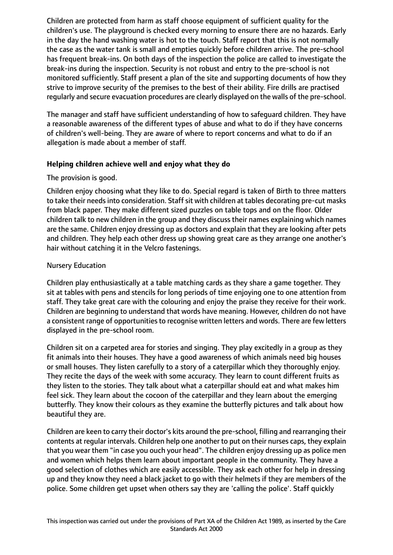Children are protected from harm as staff choose equipment of sufficient quality for the children's use. The playground is checked every morning to ensure there are no hazards. Early in the day the hand washing water is hot to the touch. Staff report that this is not normally the case as the water tank is small and empties quickly before children arrive. The pre-school has frequent break-ins. On both days of the inspection the police are called to investigate the break-ins during the inspection. Security is not robust and entry to the pre-school is not monitored sufficiently. Staff present a plan of the site and supporting documents of how they strive to improve security of the premises to the best of their ability. Fire drills are practised regularly and secure evacuation procedures are clearly displayed on the walls of the pre-school.

The manager and staff have sufficient understanding of how to safeguard children. They have a reasonable awareness of the different types of abuse and what to do if they have concerns of children's well-being. They are aware of where to report concerns and what to do if an allegation is made about a member of staff.

## **Helping children achieve well and enjoy what they do**

## The provision is good.

Children enjoy choosing what they like to do. Special regard is taken of Birth to three matters to take their needs into consideration. Staff sit with children at tables decorating pre-cut masks from black paper. They make different sized puzzles on table tops and on the floor. Older children talk to new children in the group and they discuss their names explaining which names are the same. Children enjoy dressing up as doctors and explain that they are looking after pets and children. They help each other dress up showing great care as they arrange one another's hair without catching it in the Velcro fastenings.

## Nursery Education

Children play enthusiastically at a table matching cards as they share a game together. They sit at tables with pens and stencils for long periods of time enjoying one to one attention from staff. They take great care with the colouring and enjoy the praise they receive for their work. Children are beginning to understand that words have meaning. However, children do not have a consistent range of opportunities to recognise written letters and words. There are few letters displayed in the pre-school room.

Children sit on a carpeted area for stories and singing. They play excitedly in a group as they fit animals into their houses. They have a good awareness of which animals need big houses or small houses. They listen carefully to a story of a caterpillar which they thoroughly enjoy. They recite the days of the week with some accuracy. They learn to count different fruits as they listen to the stories. They talk about what a caterpillar should eat and what makes him feel sick. They learn about the cocoon of the caterpillar and they learn about the emerging butterfly. They know their colours as they examine the butterfly pictures and talk about how beautiful they are.

Children are keen to carry their doctor's kits around the pre-school, filling and rearranging their contents at regular intervals. Children help one another to put on their nurses caps, they explain that you wear them "in case you ouch your head". The children enjoy dressing up as police men and women which helps them learn about important people in the community. They have a good selection of clothes which are easily accessible. They ask each other for help in dressing up and they know they need a black jacket to go with their helmets if they are members of the police. Some children get upset when others say they are 'calling the police'. Staff quickly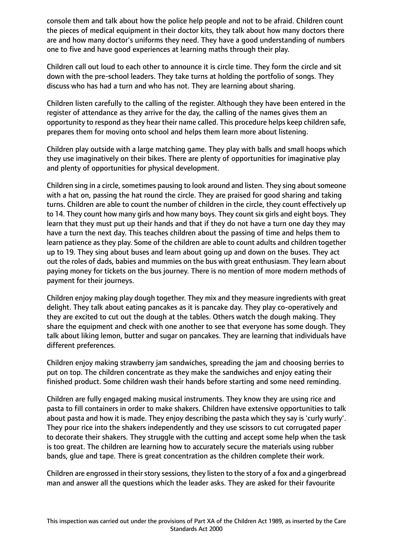console them and talk about how the police help people and not to be afraid. Children count the pieces of medical equipment in their doctor kits, they talk about how many doctors there are and how many doctor's uniforms they need. They have a good understanding of numbers one to five and have good experiences at learning maths through their play.

Children call out loud to each other to announce it is circle time. They form the circle and sit down with the pre-school leaders. They take turns at holding the portfolio of songs. They discuss who has had a turn and who has not. They are learning about sharing.

Children listen carefully to the calling of the register. Although they have been entered in the register of attendance as they arrive for the day, the calling of the names gives them an opportunity to respond as they hear their name called. This procedure helps keep children safe, prepares them for moving onto school and helps them learn more about listening.

Children play outside with a large matching game. They play with balls and small hoops which they use imaginatively on their bikes. There are plenty of opportunities for imaginative play and plenty of opportunities for physical development.

Children sing in a circle, sometimes pausing to look around and listen. They sing about someone with a hat on, passing the hat round the circle. They are praised for good sharing and taking turns. Children are able to count the number of children in the circle, they count effectively up to 14. They count how many girls and how many boys. They count six girls and eight boys. They learn that they must put up their hands and that if they do not have a turn one day they may have a turn the next day. This teaches children about the passing of time and helps them to learn patience as they play. Some of the children are able to count adults and children together up to 19. They sing about buses and learn about going up and down on the buses. They act out the roles of dads, babies and mummies on the bus with great enthusiasm. They learn about paying money for tickets on the bus journey. There is no mention of more modern methods of payment for their journeys.

Children enjoy making play dough together. They mix and they measure ingredients with great delight. They talk about eating pancakes as it is pancake day. They play co-operatively and they are excited to cut out the dough at the tables. Others watch the dough making. They share the equipment and check with one another to see that everyone has some dough. They talk about liking lemon, butter and sugar on pancakes. They are learning that individuals have different preferences.

Children enjoy making strawberry jam sandwiches, spreading the jam and choosing berries to put on top. The children concentrate as they make the sandwiches and enjoy eating their finished product. Some children wash their hands before starting and some need reminding.

Children are fully engaged making musical instruments. They know they are using rice and pasta to fill containers in order to make shakers. Children have extensive opportunities to talk about pasta and how it is made. They enjoy describing the pasta which they say is 'curly wurly'. They pour rice into the shakers independently and they use scissors to cut corrugated paper to decorate their shakers. They struggle with the cutting and accept some help when the task is too great. The children are learning how to accurately secure the materials using rubber bands, glue and tape. There is great concentration as the children complete their work.

Children are engrossed in their story sessions, they listen to the story of a fox and a gingerbread man and answer all the questions which the leader asks. They are asked for their favourite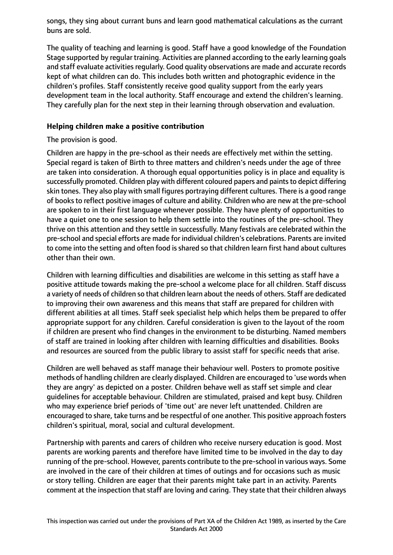songs, they sing about currant buns and learn good mathematical calculations as the currant buns are sold.

The quality of teaching and learning is good. Staff have a good knowledge of the Foundation Stage supported by regular training. Activities are planned according to the early learning goals and staff evaluate activities regularly. Good quality observations are made and accurate records kept of what children can do. This includes both written and photographic evidence in the children's profiles. Staff consistently receive good quality support from the early years development team in the local authority. Staff encourage and extend the children's learning. They carefully plan for the next step in their learning through observation and evaluation.

## **Helping children make a positive contribution**

## The provision is good.

Children are happy in the pre-school as their needs are effectively met within the setting. Special regard is taken of Birth to three matters and children's needs under the age of three are taken into consideration. A thorough equal opportunities policy is in place and equality is successfully promoted. Children play with different coloured papers and paints to depict differing skin tones. They also play with small figures portraying different cultures. There is a good range of books to reflect positive images of culture and ability. Children who are new at the pre-school are spoken to in their first language whenever possible. They have plenty of opportunities to have a quiet one to one session to help them settle into the routines of the pre-school. They thrive on this attention and they settle in successfully. Many festivals are celebrated within the pre-school and special efforts are made for individual children's celebrations. Parents are invited to come into the setting and often food is shared so that children learn first hand about cultures other than their own.

Children with learning difficulties and disabilities are welcome in this setting as staff have a positive attitude towards making the pre-school a welcome place for all children. Staff discuss a variety of needs of children so that children learn about the needs of others. Staff are dedicated to improving their own awareness and this means that staff are prepared for children with different abilities at all times. Staff seek specialist help which helps them be prepared to offer appropriate support for any children. Careful consideration is given to the layout of the room if children are present who find changes in the environment to be disturbing. Named members of staff are trained in looking after children with learning difficulties and disabilities. Books and resources are sourced from the public library to assist staff for specific needs that arise.

Children are well behaved as staff manage their behaviour well. Posters to promote positive methods of handling children are clearly displayed. Children are encouraged to 'use words when they are angry' as depicted on a poster. Children behave well as staff set simple and clear guidelines for acceptable behaviour. Children are stimulated, praised and kept busy. Children who may experience brief periods of 'time out' are never left unattended. Children are encouraged to share, take turns and be respectful of one another. This positive approach fosters children's spiritual, moral, social and cultural development.

Partnership with parents and carers of children who receive nursery education is good. Most parents are working parents and therefore have limited time to be involved in the day to day running of the pre-school. However, parents contribute to the pre-school in various ways. Some are involved in the care of their children at times of outings and for occasions such as music or story telling. Children are eager that their parents might take part in an activity. Parents comment at the inspection that staff are loving and caring. They state that their children always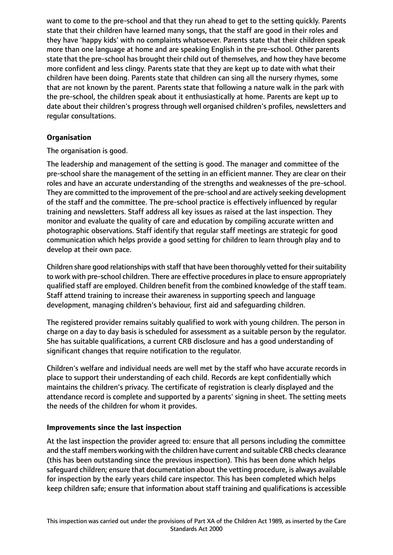want to come to the pre-school and that they run ahead to get to the setting quickly. Parents state that their children have learned many songs, that the staff are good in their roles and they have 'happy kids' with no complaints whatsoever. Parents state that their children speak more than one language at home and are speaking English in the pre-school. Other parents state that the pre-school has brought their child out of themselves, and how they have become more confident and less clingy. Parents state that they are kept up to date with what their children have been doing. Parents state that children can sing all the nursery rhymes, some that are not known by the parent. Parents state that following a nature walk in the park with the pre-school, the children speak about it enthusiastically at home. Parents are kept up to date about their children's progress through well organised children's profiles, newsletters and regular consultations.

## **Organisation**

The organisation is good.

The leadership and management of the setting is good. The manager and committee of the pre-school share the management of the setting in an efficient manner. They are clear on their roles and have an accurate understanding of the strengths and weaknesses of the pre-school. They are committed to the improvement of the pre-school and are actively seeking development of the staff and the committee. The pre-school practice is effectively influenced by regular training and newsletters. Staff address all key issues as raised at the last inspection. They monitor and evaluate the quality of care and education by compiling accurate written and photographic observations. Staff identify that regular staff meetings are strategic for good communication which helps provide a good setting for children to learn through play and to develop at their own pace.

Children share good relationships with staff that have been thoroughly vetted for their suitability to work with pre-school children. There are effective proceduresin place to ensure appropriately qualified staff are employed. Children benefit from the combined knowledge of the staff team. Staff attend training to increase their awareness in supporting speech and language development, managing children's behaviour, first aid and safeguarding children.

The registered provider remains suitably qualified to work with young children. The person in charge on a day to day basis is scheduled for assessment as a suitable person by the regulator. She has suitable qualifications, a current CRB disclosure and has a good understanding of significant changes that require notification to the regulator.

Children's welfare and individual needs are well met by the staff who have accurate records in place to support their understanding of each child. Records are kept confidentially which maintains the children's privacy. The certificate of registration is clearly displayed and the attendance record is complete and supported by a parents' signing in sheet. The setting meets the needs of the children for whom it provides.

## **Improvements since the last inspection**

At the last inspection the provider agreed to: ensure that all persons including the committee and the staff members working with the children have current and suitable CRB checks clearance (this has been outstanding since the previous inspection). This has been done which helps safeguard children; ensure that documentation about the vetting procedure, is always available for inspection by the early years child care inspector. This has been completed which helps keep children safe; ensure that information about staff training and qualifications is accessible